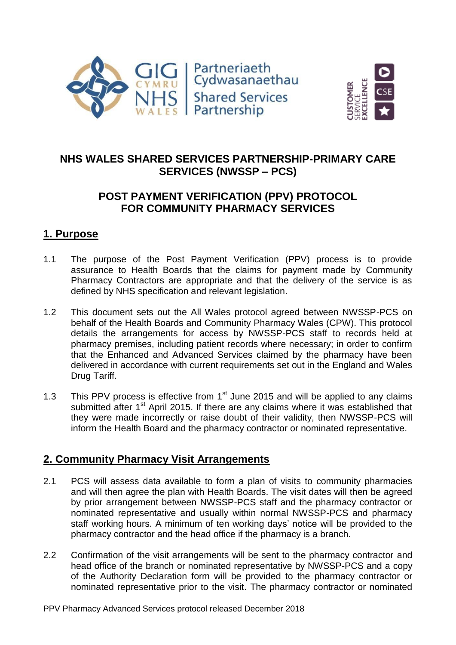



# **NHS WALES SHARED SERVICES PARTNERSHIP-PRIMARY CARE SERVICES (NWSSP – PCS)**

# **POST PAYMENT VERIFICATION (PPV) PROTOCOL FOR COMMUNITY PHARMACY SERVICES**

### **1. Purpose**

- 1.1 The purpose of the Post Payment Verification (PPV) process is to provide assurance to Health Boards that the claims for payment made by Community Pharmacy Contractors are appropriate and that the delivery of the service is as defined by NHS specification and relevant legislation.
- 1.2 This document sets out the All Wales protocol agreed between NWSSP-PCS on behalf of the Health Boards and Community Pharmacy Wales (CPW). This protocol details the arrangements for access by NWSSP-PCS staff to records held at pharmacy premises, including patient records where necessary; in order to confirm that the Enhanced and Advanced Services claimed by the pharmacy have been delivered in accordance with current requirements set out in the England and Wales Drug Tariff.
- 1.3 This PPV process is effective from  $1<sup>st</sup>$  June 2015 and will be applied to any claims submitted after 1<sup>st</sup> April 2015. If there are any claims where it was established that they were made incorrectly or raise doubt of their validity, then NWSSP-PCS will inform the Health Board and the pharmacy contractor or nominated representative.

# **2. Community Pharmacy Visit Arrangements**

- 2.1 PCS will assess data available to form a plan of visits to community pharmacies and will then agree the plan with Health Boards. The visit dates will then be agreed by prior arrangement between NWSSP-PCS staff and the pharmacy contractor or nominated representative and usually within normal NWSSP-PCS and pharmacy staff working hours. A minimum of ten working days' notice will be provided to the pharmacy contractor and the head office if the pharmacy is a branch.
- 2.2 Confirmation of the visit arrangements will be sent to the pharmacy contractor and head office of the branch or nominated representative by NWSSP-PCS and a copy of the Authority Declaration form will be provided to the pharmacy contractor or nominated representative prior to the visit. The pharmacy contractor or nominated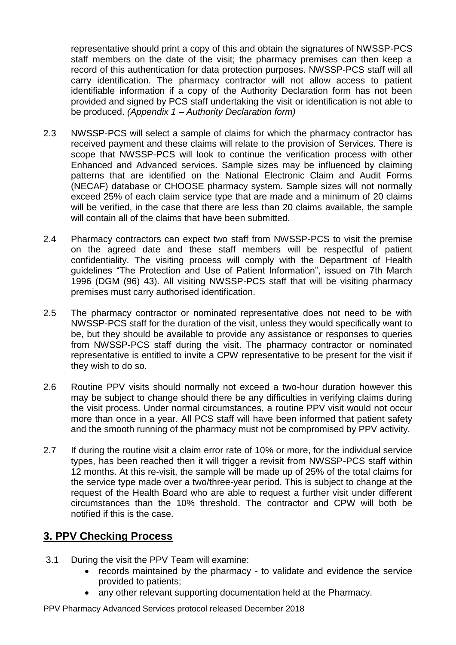representative should print a copy of this and obtain the signatures of NWSSP-PCS staff members on the date of the visit; the pharmacy premises can then keep a record of this authentication for data protection purposes. NWSSP-PCS staff will all carry identification. The pharmacy contractor will not allow access to patient identifiable information if a copy of the Authority Declaration form has not been provided and signed by PCS staff undertaking the visit or identification is not able to be produced. *(Appendix 1 – Authority Declaration form)*

- 2.3 NWSSP-PCS will select a sample of claims for which the pharmacy contractor has received payment and these claims will relate to the provision of Services. There is scope that NWSSP-PCS will look to continue the verification process with other Enhanced and Advanced services. Sample sizes may be influenced by claiming patterns that are identified on the National Electronic Claim and Audit Forms (NECAF) database or CHOOSE pharmacy system. Sample sizes will not normally exceed 25% of each claim service type that are made and a minimum of 20 claims will be verified, in the case that there are less than 20 claims available, the sample will contain all of the claims that have been submitted.
- 2.4 Pharmacy contractors can expect two staff from NWSSP-PCS to visit the premise on the agreed date and these staff members will be respectful of patient confidentiality. The visiting process will comply with the Department of Health guidelines "The Protection and Use of Patient Information", issued on 7th March 1996 (DGM (96) 43). All visiting NWSSP-PCS staff that will be visiting pharmacy premises must carry authorised identification.
- 2.5 The pharmacy contractor or nominated representative does not need to be with NWSSP-PCS staff for the duration of the visit, unless they would specifically want to be, but they should be available to provide any assistance or responses to queries from NWSSP-PCS staff during the visit. The pharmacy contractor or nominated representative is entitled to invite a CPW representative to be present for the visit if they wish to do so.
- 2.6 Routine PPV visits should normally not exceed a two-hour duration however this may be subject to change should there be any difficulties in verifying claims during the visit process. Under normal circumstances, a routine PPV visit would not occur more than once in a year. All PCS staff will have been informed that patient safety and the smooth running of the pharmacy must not be compromised by PPV activity.
- 2.7 If during the routine visit a claim error rate of 10% or more, for the individual service types, has been reached then it will trigger a revisit from NWSSP-PCS staff within 12 months. At this re-visit, the sample will be made up of 25% of the total claims for the service type made over a two/three-year period. This is subject to change at the request of the Health Board who are able to request a further visit under different circumstances than the 10% threshold. The contractor and CPW will both be notified if this is the case.

# **3. PPV Checking Process**

- 3.1 During the visit the PPV Team will examine:
	- records maintained by the pharmacy to validate and evidence the service provided to patients;
	- any other relevant supporting documentation held at the Pharmacy.

PPV Pharmacy Advanced Services protocol released December 2018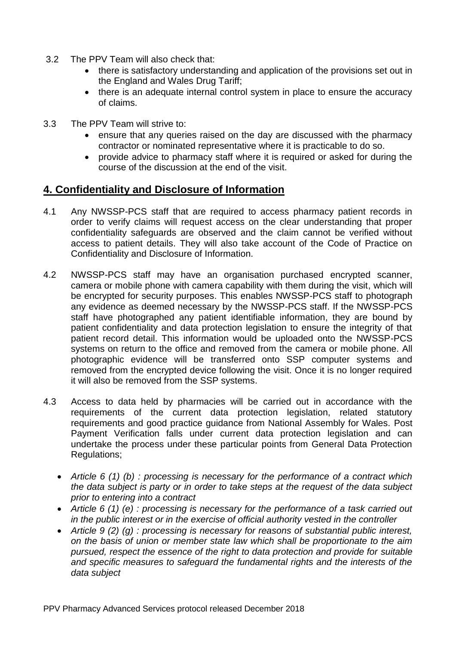- 3.2 The PPV Team will also check that:
	- there is satisfactory understanding and application of the provisions set out in the England and Wales Drug Tariff;
	- there is an adequate internal control system in place to ensure the accuracy of claims.
- 3.3 The PPV Team will strive to:
	- ensure that any queries raised on the day are discussed with the pharmacy contractor or nominated representative where it is practicable to do so.
	- provide advice to pharmacy staff where it is required or asked for during the course of the discussion at the end of the visit.

### **4. Confidentiality and Disclosure of Information**

- 4.1 Any NWSSP-PCS staff that are required to access pharmacy patient records in order to verify claims will request access on the clear understanding that proper confidentiality safeguards are observed and the claim cannot be verified without access to patient details. They will also take account of the Code of Practice on Confidentiality and Disclosure of Information.
- 4.2 NWSSP-PCS staff may have an organisation purchased encrypted scanner, camera or mobile phone with camera capability with them during the visit, which will be encrypted for security purposes. This enables NWSSP-PCS staff to photograph any evidence as deemed necessary by the NWSSP-PCS staff. If the NWSSP-PCS staff have photographed any patient identifiable information, they are bound by patient confidentiality and data protection legislation to ensure the integrity of that patient record detail. This information would be uploaded onto the NWSSP-PCS systems on return to the office and removed from the camera or mobile phone. All photographic evidence will be transferred onto SSP computer systems and removed from the encrypted device following the visit. Once it is no longer required it will also be removed from the SSP systems.
- 4.3 Access to data held by pharmacies will be carried out in accordance with the requirements of the current data protection legislation, related statutory requirements and good practice guidance from National Assembly for Wales. Post Payment Verification falls under current data protection legislation and can undertake the process under these particular points from General Data Protection Regulations;
	- *Article 6 (1) (b) : processing is necessary for the performance of a contract which the data subject is party or in order to take steps at the request of the data subject prior to entering into a contract*
	- *Article 6 (1) (e) : processing is necessary for the performance of a task carried out in the public interest or in the exercise of official authority vested in the controller*
	- *Article 9 (2) (g) : processing is necessary for reasons of substantial public interest, on the basis of union or member state law which shall be proportionate to the aim pursued, respect the essence of the right to data protection and provide for suitable and specific measures to safeguard the fundamental rights and the interests of the data subject*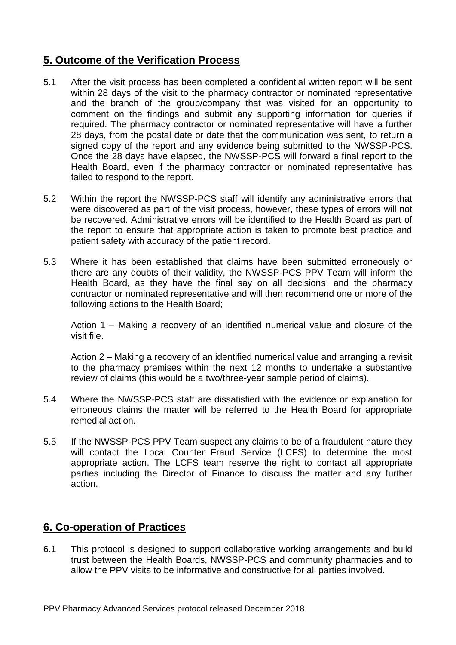# **5. Outcome of the Verification Process**

- 5.1 After the visit process has been completed a confidential written report will be sent within 28 days of the visit to the pharmacy contractor or nominated representative and the branch of the group/company that was visited for an opportunity to comment on the findings and submit any supporting information for queries if required. The pharmacy contractor or nominated representative will have a further 28 days, from the postal date or date that the communication was sent, to return a signed copy of the report and any evidence being submitted to the NWSSP-PCS. Once the 28 days have elapsed, the NWSSP-PCS will forward a final report to the Health Board, even if the pharmacy contractor or nominated representative has failed to respond to the report.
- 5.2 Within the report the NWSSP-PCS staff will identify any administrative errors that were discovered as part of the visit process, however, these types of errors will not be recovered. Administrative errors will be identified to the Health Board as part of the report to ensure that appropriate action is taken to promote best practice and patient safety with accuracy of the patient record.
- 5.3 Where it has been established that claims have been submitted erroneously or there are any doubts of their validity, the NWSSP-PCS PPV Team will inform the Health Board, as they have the final say on all decisions, and the pharmacy contractor or nominated representative and will then recommend one or more of the following actions to the Health Board;

Action 1 – Making a recovery of an identified numerical value and closure of the visit file.

Action 2 – Making a recovery of an identified numerical value and arranging a revisit to the pharmacy premises within the next 12 months to undertake a substantive review of claims (this would be a two/three-year sample period of claims).

- 5.4 Where the NWSSP-PCS staff are dissatisfied with the evidence or explanation for erroneous claims the matter will be referred to the Health Board for appropriate remedial action.
- 5.5 If the NWSSP-PCS PPV Team suspect any claims to be of a fraudulent nature they will contact the Local Counter Fraud Service (LCFS) to determine the most appropriate action. The LCFS team reserve the right to contact all appropriate parties including the Director of Finance to discuss the matter and any further action.

# **6. Co-operation of Practices**

6.1 This protocol is designed to support collaborative working arrangements and build trust between the Health Boards, NWSSP-PCS and community pharmacies and to allow the PPV visits to be informative and constructive for all parties involved.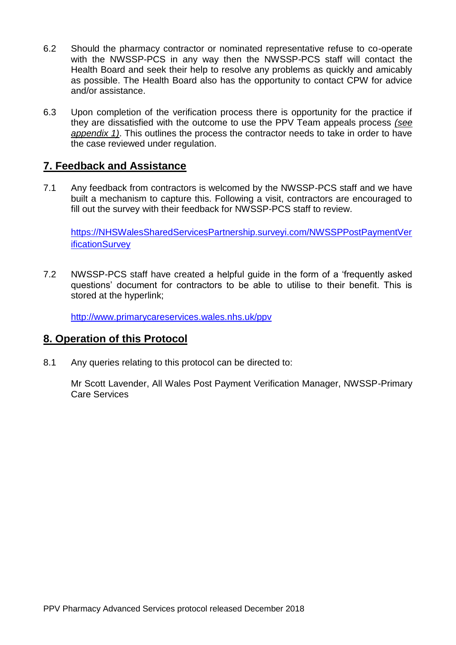- 6.2 Should the pharmacy contractor or nominated representative refuse to co-operate with the NWSSP-PCS in any way then the NWSSP-PCS staff will contact the Health Board and seek their help to resolve any problems as quickly and amicably as possible. The Health Board also has the opportunity to contact CPW for advice and/or assistance.
- 6.3 Upon completion of the verification process there is opportunity for the practice if they are dissatisfied with the outcome to use the PPV Team appeals process *(see appendix 1)*. This outlines the process the contractor needs to take in order to have the case reviewed under regulation.

### **7. Feedback and Assistance**

7.1 Any feedback from contractors is welcomed by the NWSSP-PCS staff and we have built a mechanism to capture this. Following a visit, contractors are encouraged to fill out the survey with their feedback for NWSSP-PCS staff to review.

[https://NHSWalesSharedServicesPartnership.surveyi.com/NWSSPPostPaymentVer](https://nhswalessharedservicespartnership.surveyi.com/NWSSPPostPaymentVerificationSurvey) [ificationSurvey](https://nhswalessharedservicespartnership.surveyi.com/NWSSPPostPaymentVerificationSurvey)

7.2 NWSSP-PCS staff have created a helpful guide in the form of a 'frequently asked questions' document for contractors to be able to utilise to their benefit. This is stored at the hyperlink;

<http://www.primarycareservices.wales.nhs.uk/ppv>

# **8. Operation of this Protocol**

8.1 Any queries relating to this protocol can be directed to:

Mr Scott Lavender, All Wales Post Payment Verification Manager, NWSSP-Primary Care Services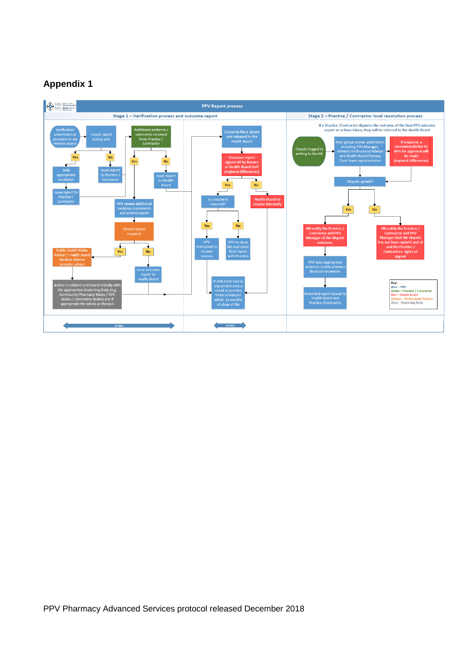# **Appendix 1**

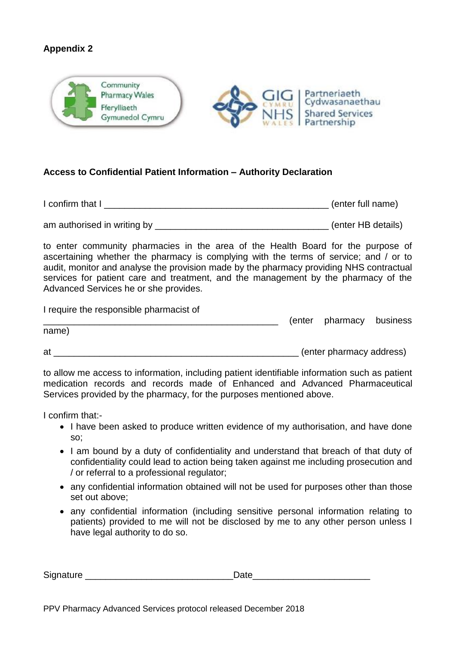#### **Appendix 2**



#### **Access to Confidential Patient Information – Authority Declaration**

I confirm that I \_\_\_\_\_\_\_\_\_\_\_\_\_\_\_\_\_\_\_\_\_\_\_\_\_\_\_\_\_\_\_\_\_\_\_\_\_\_\_\_\_\_\_\_ (enter full name)

am authorised in writing by a settlement of the settlement of the settlement of the settlement of the settlement of the settlement of the settlement of the settlement of the settlement of the settlement of the settlement o

to enter community pharmacies in the area of the Health Board for the purpose of ascertaining whether the pharmacy is complying with the terms of service; and / or to audit, monitor and analyse the provision made by the pharmacy providing NHS contractual services for patient care and treatment, and the management by the pharmacy of the Advanced Services he or she provides.

I require the responsible pharmacist of

\_\_\_\_\_\_\_\_\_\_\_\_\_\_\_\_\_\_\_\_\_\_\_\_\_\_\_\_\_\_\_\_\_\_\_\_\_\_\_\_\_\_\_\_\_\_ (enter pharmacy business name)

at the contract of the contract of the contract of the contract of the contract of the contract address)

to allow me access to information, including patient identifiable information such as patient medication records and records made of Enhanced and Advanced Pharmaceutical Services provided by the pharmacy, for the purposes mentioned above.

I confirm that:-

- I have been asked to produce written evidence of my authorisation, and have done so;
- I am bound by a duty of confidentiality and understand that breach of that duty of confidentiality could lead to action being taken against me including prosecution and / or referral to a professional regulator;
- any confidential information obtained will not be used for purposes other than those set out above;
- any confidential information (including sensitive personal information relating to patients) provided to me will not be disclosed by me to any other person unless I have legal authority to do so.

| Signature | ,,,,, |
|-----------|-------|
|           |       |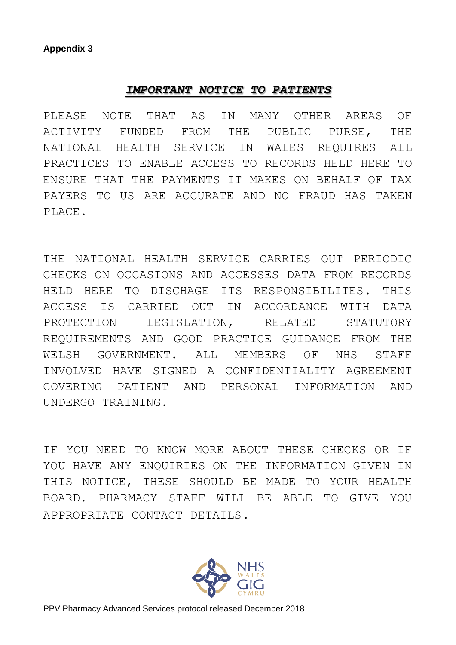### *IMPORTANT NOTICE TO PATIENTS*

PLEASE NOTE THAT AS IN MANY OTHER AREAS OF ACTIVITY FUNDED FROM THE PUBLIC PURSE, THE NATIONAL HEALTH SERVICE IN WALES REQUIRES ALL PRACTICES TO ENABLE ACCESS TO RECORDS HELD HERE TO ENSURE THAT THE PAYMENTS IT MAKES ON BEHALF OF TAX PAYERS TO US ARE ACCURATE AND NO FRAUD HAS TAKEN PLACE.

THE NATIONAL HEALTH SERVICE CARRIES OUT PERIODIC CHECKS ON OCCASIONS AND ACCESSES DATA FROM RECORDS HELD HERE TO DISCHAGE ITS RESPONSIBILITES. THIS ACCESS IS CARRIED OUT IN ACCORDANCE WITH DATA PROTECTION LEGISLATION, RELATED STATUTORY REQUIREMENTS AND GOOD PRACTICE GUIDANCE FROM THE WELSH GOVERNMENT. ALL MEMBERS OF NHS STAFF INVOLVED HAVE SIGNED A CONFIDENTIALITY AGREEMENT COVERING PATIENT AND PERSONAL INFORMATION AND UNDERGO TRAINING.

IF YOU NEED TO KNOW MORE ABOUT THESE CHECKS OR IF YOU HAVE ANY ENOUIRIES ON THE INFORMATION GIVEN IN THIS NOTICE, THESE SHOULD BE MADE TO YOUR HEALTH BOARD. PHARMACY STAFF WILL BE ABLE TO GIVE YOU APPROPRIATE CONTACT DETAILS.